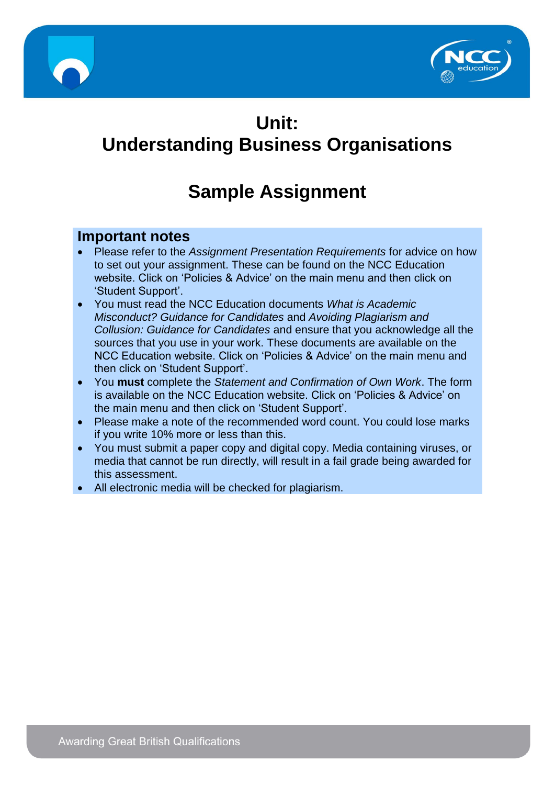



# **Unit: Understanding Business Organisations**

# **Sample Assignment**

## **Important notes**

- Please refer to the *Assignment Presentation Requirements* for advice on how to set out your assignment. These can be found on the NCC Education website. Click on 'Policies & Advice' on the main menu and then click on 'Student Support'.
- You must read the NCC Education documents *What is Academic Misconduct? Guidance for Candidates* and *Avoiding Plagiarism and Collusion: Guidance for Candidates* and ensure that you acknowledge all the sources that you use in your work. These documents are available on the NCC Education website. Click on 'Policies & Advice' on the main menu and then click on 'Student Support'.
- You **must** complete the *Statement and Confirmation of Own Work*. The form is available on the NCC Education website. Click on 'Policies & Advice' on the main menu and then click on 'Student Support'.
- Please make a note of the recommended word count. You could lose marks if you write 10% more or less than this.
- You must submit a paper copy and digital copy. Media containing viruses, or media that cannot be run directly, will result in a fail grade being awarded for this assessment.
- All electronic media will be checked for plagiarism.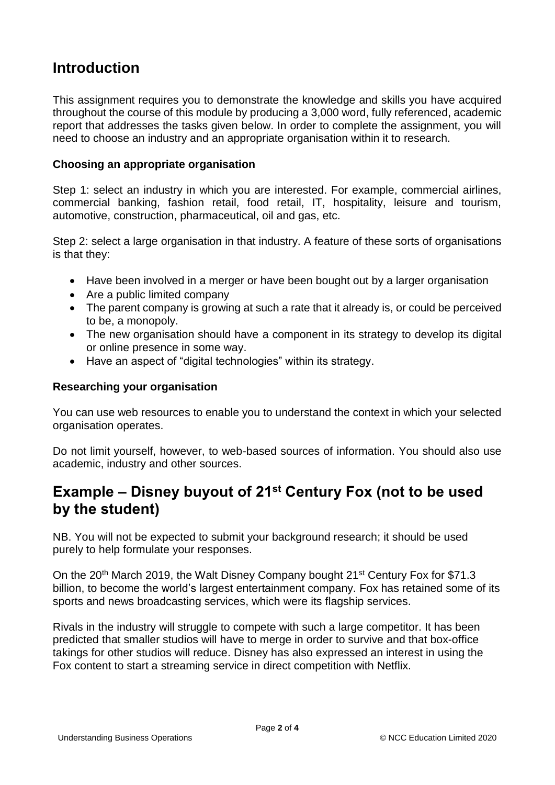# **Introduction**

This assignment requires you to demonstrate the knowledge and skills you have acquired throughout the course of this module by producing a 3,000 word, fully referenced, academic report that addresses the tasks given below. In order to complete the assignment, you will need to choose an industry and an appropriate organisation within it to research.

#### **Choosing an appropriate organisation**

Step 1: select an industry in which you are interested. For example, commercial airlines, commercial banking, fashion retail, food retail, IT, hospitality, leisure and tourism, automotive, construction, pharmaceutical, oil and gas, etc.

Step 2: select a large organisation in that industry. A feature of these sorts of organisations is that they:

- Have been involved in a merger or have been bought out by a larger organisation
- Are a public limited company
- The parent company is growing at such a rate that it already is, or could be perceived to be, a monopoly.
- The new organisation should have a component in its strategy to develop its digital or online presence in some way.
- Have an aspect of "digital technologies" within its strategy.

#### **Researching your organisation**

You can use web resources to enable you to understand the context in which your selected organisation operates.

Do not limit yourself, however, to web-based sources of information. You should also use academic, industry and other sources.

# **Example – Disney buyout of 21<sup>st</sup> Century Fox (not to be used by the student)**

NB. You will not be expected to submit your background research; it should be used purely to help formulate your responses.

On the 20<sup>th</sup> March 2019, the Walt Disney Company bought 21<sup>st</sup> Century Fox for \$71.3 billion, to become the world's largest entertainment company. Fox has retained some of its sports and news broadcasting services, which were its flagship services.

Rivals in the industry will struggle to compete with such a large competitor. It has been predicted that smaller studios will have to merge in order to survive and that box-office takings for other studios will reduce. Disney has also expressed an interest in using the Fox content to start a streaming service in direct competition with Netflix.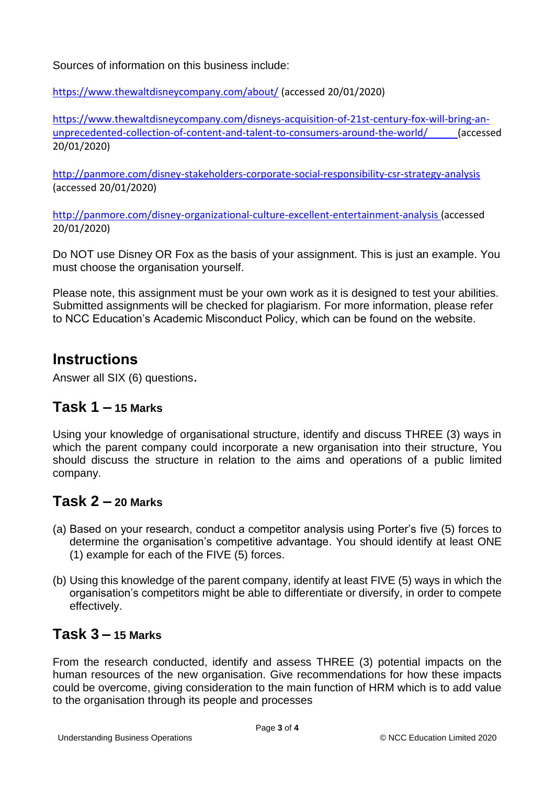Sources of information on this business include:

<https://www.thewaltdisneycompany.com/about/> (accessed 20/01/2020)

[https://www.thewaltdisneycompany.com/disneys-acquisition-of-21st-century-fox-will-bring-an](https://www.thewaltdisneycompany.com/disneys-acquisition-of-21st-century-fox-will-bring-an-unprecedented-collection-of-content-and-talent-to-consumers-around-the-world/)[unprecedented-collection-of-content-and-talent-to-consumers-around-the-world/](https://www.thewaltdisneycompany.com/disneys-acquisition-of-21st-century-fox-will-bring-an-unprecedented-collection-of-content-and-talent-to-consumers-around-the-world/) (accessed 20/01/2020)

<http://panmore.com/disney-stakeholders-corporate-social-responsibility-csr-strategy-analysis> (accessed 20/01/2020)

<http://panmore.com/disney-organizational-culture-excellent-entertainment-analysis> (accessed 20/01/2020)

Do NOT use Disney OR Fox as the basis of your assignment. This is just an example. You must choose the organisation yourself.

Please note, this assignment must be your own work as it is designed to test your abilities. Submitted assignments will be checked for plagiarism. For more information, please refer to NCC Education's Academic Misconduct Policy, which can be found on the website.

# **Instructions**

Answer all SIX (6) questions.

#### **Task 1 – 15 Marks**

Using your knowledge of organisational structure, identify and discuss THREE (3) ways in which the parent company could incorporate a new organisation into their structure, You should discuss the structure in relation to the aims and operations of a public limited company.

#### **Task 2 – 20 Marks**

- (a) Based on your research, conduct a competitor analysis using Porter's five (5) forces to determine the organisation's competitive advantage. You should identify at least ONE (1) example for each of the FIVE (5) forces.
- (b) Using this knowledge of the parent company, identify at least FIVE (5) ways in which the organisation's competitors might be able to differentiate or diversify, in order to compete effectively.

### **Task 3 – 15 Marks**

From the research conducted, identify and assess THREE (3) potential impacts on the human resources of the new organisation. Give recommendations for how these impacts could be overcome, giving consideration to the main function of HRM which is to add value to the organisation through its people and processes